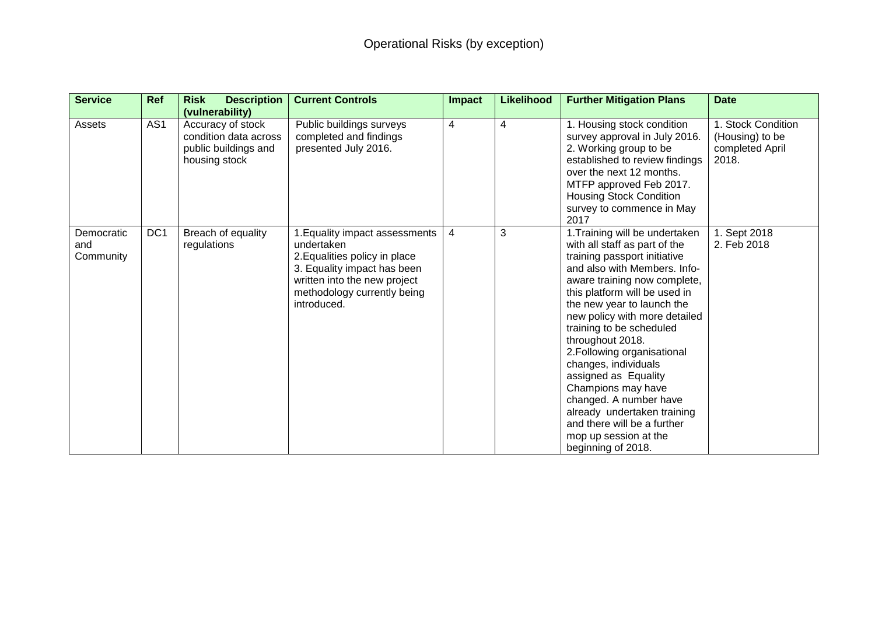| <b>Service</b>                 | <b>Ref</b>      | <b>Description</b><br><b>Risk</b><br>(vulnerability)                                | <b>Current Controls</b>                                                                                                                                                                    | Impact | <b>Likelihood</b> | <b>Further Mitigation Plans</b>                                                                                                                                                                                                                                                                                                                                                                                                                                                                                                                             | <b>Date</b>                                                       |
|--------------------------------|-----------------|-------------------------------------------------------------------------------------|--------------------------------------------------------------------------------------------------------------------------------------------------------------------------------------------|--------|-------------------|-------------------------------------------------------------------------------------------------------------------------------------------------------------------------------------------------------------------------------------------------------------------------------------------------------------------------------------------------------------------------------------------------------------------------------------------------------------------------------------------------------------------------------------------------------------|-------------------------------------------------------------------|
| Assets                         | AS <sub>1</sub> | Accuracy of stock<br>condition data across<br>public buildings and<br>housing stock | Public buildings surveys<br>completed and findings<br>presented July 2016.                                                                                                                 | 4      | 4                 | 1. Housing stock condition<br>survey approval in July 2016.<br>2. Working group to be<br>established to review findings<br>over the next 12 months.<br>MTFP approved Feb 2017.<br><b>Housing Stock Condition</b><br>survey to commence in May<br>2017                                                                                                                                                                                                                                                                                                       | 1. Stock Condition<br>(Housing) to be<br>completed April<br>2018. |
| Democratic<br>and<br>Community | DC <sub>1</sub> | Breach of equality<br>regulations                                                   | 1. Equality impact assessments<br>undertaken<br>2. Equalities policy in place<br>3. Equality impact has been<br>written into the new project<br>methodology currently being<br>introduced. | 4      | 3                 | 1. Training will be undertaken<br>with all staff as part of the<br>training passport initiative<br>and also with Members. Info-<br>aware training now complete,<br>this platform will be used in<br>the new year to launch the<br>new policy with more detailed<br>training to be scheduled<br>throughout 2018.<br>2. Following organisational<br>changes, individuals<br>assigned as Equality<br>Champions may have<br>changed. A number have<br>already undertaken training<br>and there will be a further<br>mop up session at the<br>beginning of 2018. | 1. Sept 2018<br>2. Feb 2018                                       |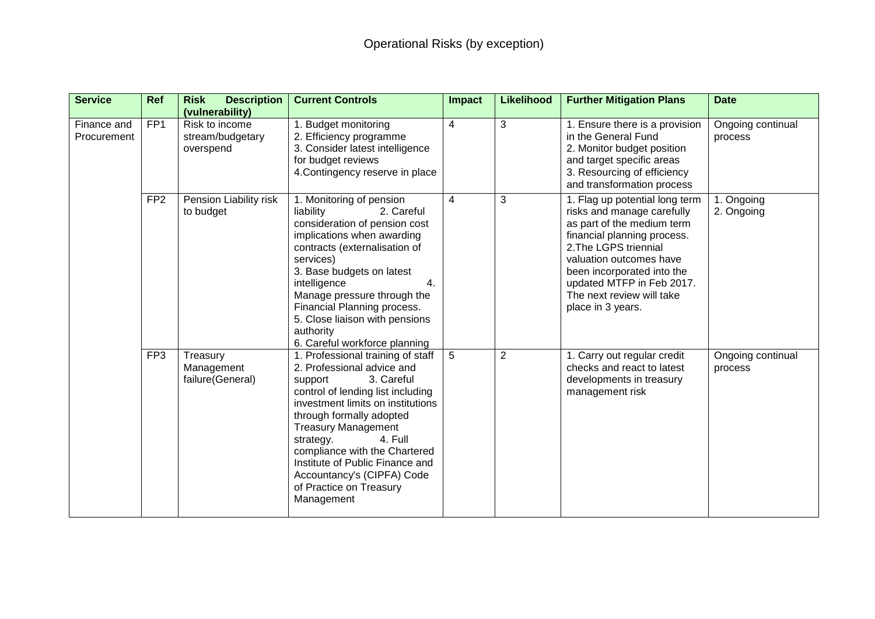| <b>Service</b>             | <b>Ref</b>      | <b>Risk</b><br><b>Description</b><br>(vulnerability) | <b>Current Controls</b>                                                                                                                                                                                                                                                                                                                                                                         | Impact         | <b>Likelihood</b> | <b>Further Mitigation Plans</b>                                                                                                                                                                                                                                                            | <b>Date</b>                  |
|----------------------------|-----------------|------------------------------------------------------|-------------------------------------------------------------------------------------------------------------------------------------------------------------------------------------------------------------------------------------------------------------------------------------------------------------------------------------------------------------------------------------------------|----------------|-------------------|--------------------------------------------------------------------------------------------------------------------------------------------------------------------------------------------------------------------------------------------------------------------------------------------|------------------------------|
| Finance and<br>Procurement | FP <sub>1</sub> | Risk to income<br>stream/budgetary<br>overspend      | 1. Budget monitoring<br>2. Efficiency programme<br>3. Consider latest intelligence<br>for budget reviews<br>4. Contingency reserve in place                                                                                                                                                                                                                                                     | $\overline{4}$ | 3                 | 1. Ensure there is a provision<br>in the General Fund<br>2. Monitor budget position<br>and target specific areas<br>3. Resourcing of efficiency<br>and transformation process                                                                                                              | Ongoing continual<br>process |
|                            | FP <sub>2</sub> | Pension Liability risk<br>to budget                  | 1. Monitoring of pension<br>liability<br>2. Careful<br>consideration of pension cost<br>implications when awarding<br>contracts (externalisation of<br>services)<br>3. Base budgets on latest<br>intelligence<br>4.<br>Manage pressure through the<br>Financial Planning process.<br>5. Close liaison with pensions<br>authority<br>6. Careful workforce planning                               | $\overline{4}$ | 3                 | 1. Flag up potential long term<br>risks and manage carefully<br>as part of the medium term<br>financial planning process.<br>2. The LGPS triennial<br>valuation outcomes have<br>been incorporated into the<br>updated MTFP in Feb 2017.<br>The next review will take<br>place in 3 years. | 1. Ongoing<br>2. Ongoing     |
|                            | FP <sub>3</sub> | Treasury<br>Management<br>failure(General)           | 1. Professional training of staff<br>2. Professional advice and<br>3. Careful<br>support<br>control of lending list including<br>investment limits on institutions<br>through formally adopted<br><b>Treasury Management</b><br>strategy.<br>4. Full<br>compliance with the Chartered<br>Institute of Public Finance and<br>Accountancy's (CIPFA) Code<br>of Practice on Treasury<br>Management | 5              | $\overline{2}$    | 1. Carry out regular credit<br>checks and react to latest<br>developments in treasury<br>management risk                                                                                                                                                                                   | Ongoing continual<br>process |